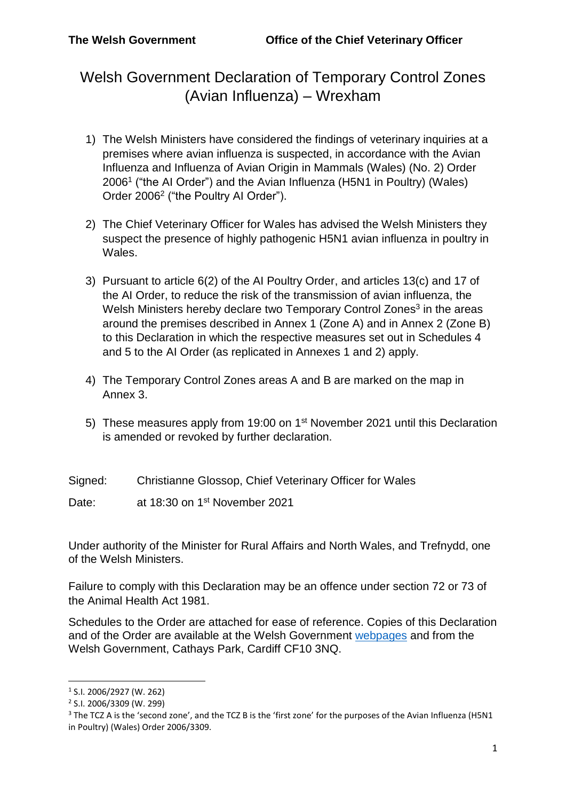Welsh Government Declaration of Temporary Control Zones (Avian Influenza) – Wrexham

- 1) The Welsh Ministers have considered the findings of veterinary inquiries at a premises where avian influenza is suspected, in accordance with the Avian Influenza and Influenza of Avian Origin in Mammals (Wales) (No. 2) Order 2006<sup>1</sup> ("the AI Order") and the Avian Influenza (H5N1 in Poultry) (Wales) Order 2006<sup>2</sup> ("the Poultry AI Order").
- 2) The Chief Veterinary Officer for Wales has advised the Welsh Ministers they suspect the presence of highly pathogenic H5N1 avian influenza in poultry in Wales.
- 3) Pursuant to article 6(2) of the AI Poultry Order, and articles 13(c) and 17 of the AI Order, to reduce the risk of the transmission of avian influenza, the Welsh Ministers hereby declare two Temporary Control Zones<sup>3</sup> in the areas around the premises described in Annex 1 (Zone A) and in Annex 2 (Zone B) to this Declaration in which the respective measures set out in Schedules 4 and 5 to the AI Order (as replicated in Annexes 1 and 2) apply.
- 4) The Temporary Control Zones areas A and B are marked on the map in Annex 3.
- 5) These measures apply from 19:00 on 1<sup>st</sup> November 2021 until this Declaration is amended or revoked by further declaration.
- Signed: Christianne Glossop, Chief Veterinary Officer for Wales

Date: at 18:30 on 1<sup>st</sup> November 2021

Under authority of the Minister for Rural Affairs and North Wales, and Trefnydd, one of the Welsh Ministers.

Failure to comply with this Declaration may be an offence under section 72 or 73 of the Animal Health Act 1981.

Schedules to the Order are attached for ease of reference. Copies of this Declaration and of the Order are available at the Welsh Government [webpages](http://gov.wales/topics/environmentcountryside/ahw/disease/avianflu/?lang=enand) and from the Welsh Government, Cathays Park, Cardiff CF10 3NQ.

1

<sup>1</sup> S.I. 2006/2927 (W. 262)

<sup>2</sup> S.I. 2006/3309 (W. 299)

<sup>&</sup>lt;sup>3</sup> The TCZ A is the 'second zone', and the TCZ B is the 'first zone' for the purposes of the Avian Influenza (H5N1 in Poultry) (Wales) Order 2006/3309.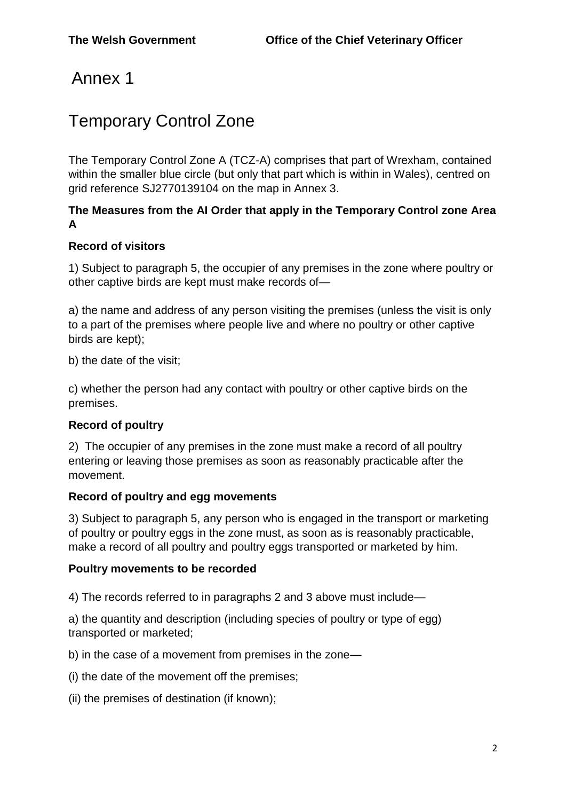## Annex 1

# Temporary Control Zone

The Temporary Control Zone A (TCZ-A) comprises that part of Wrexham, contained within the smaller blue circle (but only that part which is within in Wales), centred on grid reference SJ2770139104 on the map in Annex 3.

## **The Measures from the AI Order that apply in the Temporary Control zone Area A**

## **Record of visitors**

1) Subject to paragraph 5, the occupier of any premises in the zone where poultry or other captive birds are kept must make records of—

a) the name and address of any person visiting the premises (unless the visit is only to a part of the premises where people live and where no poultry or other captive birds are kept);

b) the date of the visit;

c) whether the person had any contact with poultry or other captive birds on the premises.

## **Record of poultry**

2) The occupier of any premises in the zone must make a record of all poultry entering or leaving those premises as soon as reasonably practicable after the movement.

#### **Record of poultry and egg movements**

3) Subject to paragraph 5, any person who is engaged in the transport or marketing of poultry or poultry eggs in the zone must, as soon as is reasonably practicable, make a record of all poultry and poultry eggs transported or marketed by him.

#### **Poultry movements to be recorded**

4) The records referred to in paragraphs 2 and 3 above must include—

a) the quantity and description (including species of poultry or type of egg) transported or marketed;

b) in the case of a movement from premises in the zone—

(i) the date of the movement off the premises;

(ii) the premises of destination (if known);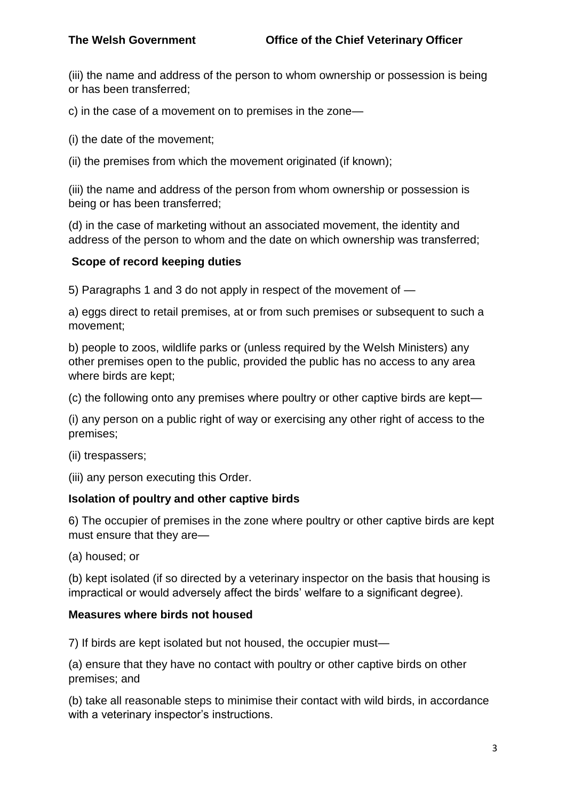(iii) the name and address of the person to whom ownership or possession is being or has been transferred;

c) in the case of a movement on to premises in the zone—

(i) the date of the movement;

(ii) the premises from which the movement originated (if known);

(iii) the name and address of the person from whom ownership or possession is being or has been transferred;

(d) in the case of marketing without an associated movement, the identity and address of the person to whom and the date on which ownership was transferred;

#### **Scope of record keeping duties**

5) Paragraphs 1 and 3 do not apply in respect of the movement of —

a) eggs direct to retail premises, at or from such premises or subsequent to such a movement;

b) people to zoos, wildlife parks or (unless required by the Welsh Ministers) any other premises open to the public, provided the public has no access to any area where birds are kept;

(c) the following onto any premises where poultry or other captive birds are kept—

(i) any person on a public right of way or exercising any other right of access to the premises;

(ii) trespassers;

(iii) any person executing this Order.

#### **Isolation of poultry and other captive birds**

6) The occupier of premises in the zone where poultry or other captive birds are kept must ensure that they are—

(a) housed; or

(b) kept isolated (if so directed by a veterinary inspector on the basis that housing is impractical or would adversely affect the birds' welfare to a significant degree).

#### **Measures where birds not housed**

7) If birds are kept isolated but not housed, the occupier must—

(a) ensure that they have no contact with poultry or other captive birds on other premises; and

(b) take all reasonable steps to minimise their contact with wild birds, in accordance with a veterinary inspector's instructions.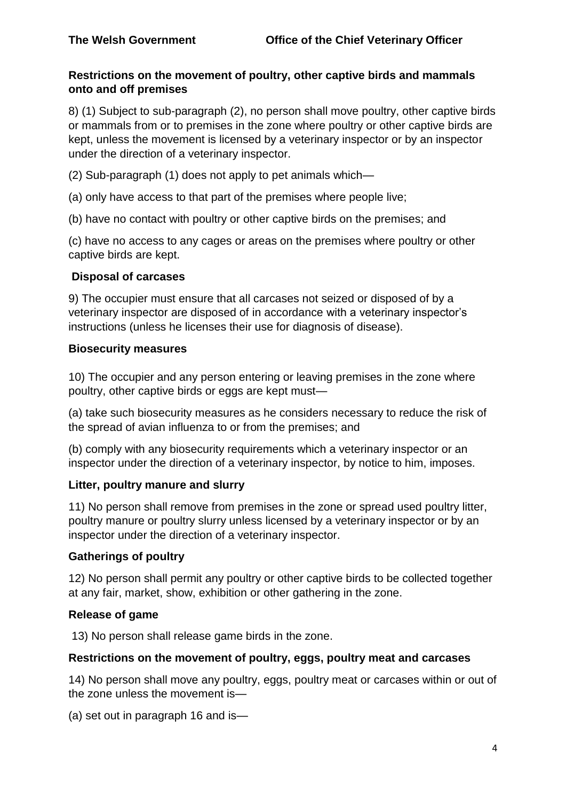## **Restrictions on the movement of poultry, other captive birds and mammals onto and off premises**

8) (1) Subject to sub-paragraph (2), no person shall move poultry, other captive birds or mammals from or to premises in the zone where poultry or other captive birds are kept, unless the movement is licensed by a veterinary inspector or by an inspector under the direction of a veterinary inspector.

(2) Sub-paragraph (1) does not apply to pet animals which—

(a) only have access to that part of the premises where people live;

(b) have no contact with poultry or other captive birds on the premises; and

(c) have no access to any cages or areas on the premises where poultry or other captive birds are kept.

#### **Disposal of carcases**

9) The occupier must ensure that all carcases not seized or disposed of by a veterinary inspector are disposed of in accordance with a veterinary inspector's instructions (unless he licenses their use for diagnosis of disease).

#### **Biosecurity measures**

10) The occupier and any person entering or leaving premises in the zone where poultry, other captive birds or eggs are kept must—

(a) take such biosecurity measures as he considers necessary to reduce the risk of the spread of avian influenza to or from the premises; and

(b) comply with any biosecurity requirements which a veterinary inspector or an inspector under the direction of a veterinary inspector, by notice to him, imposes.

## **Litter, poultry manure and slurry**

11) No person shall remove from premises in the zone or spread used poultry litter, poultry manure or poultry slurry unless licensed by a veterinary inspector or by an inspector under the direction of a veterinary inspector.

## **Gatherings of poultry**

12) No person shall permit any poultry or other captive birds to be collected together at any fair, market, show, exhibition or other gathering in the zone.

#### **Release of game**

13) No person shall release game birds in the zone.

#### **Restrictions on the movement of poultry, eggs, poultry meat and carcases**

14) No person shall move any poultry, eggs, poultry meat or carcases within or out of the zone unless the movement is—

(a) set out in paragraph 16 and is—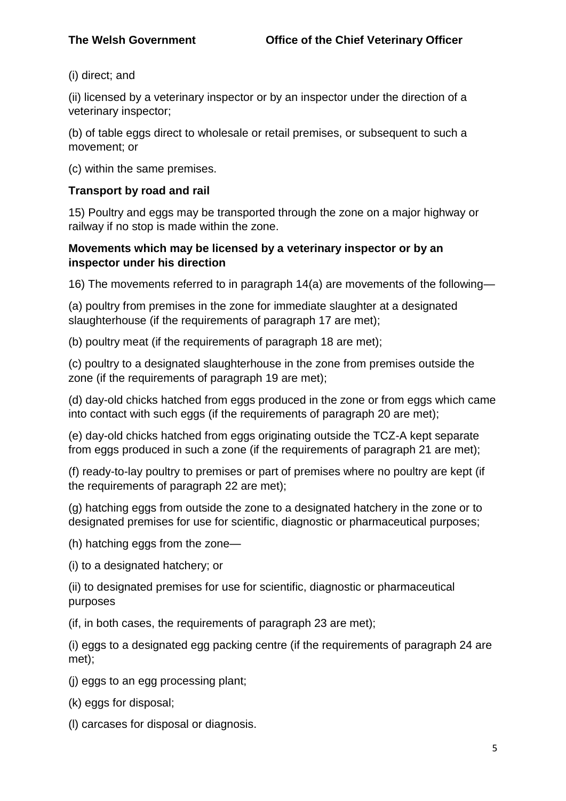(i) direct; and

(ii) licensed by a veterinary inspector or by an inspector under the direction of a veterinary inspector;

(b) of table eggs direct to wholesale or retail premises, or subsequent to such a movement; or

(c) within the same premises.

## **Transport by road and rail**

15) Poultry and eggs may be transported through the zone on a major highway or railway if no stop is made within the zone.

## **Movements which may be licensed by a veterinary inspector or by an inspector under his direction**

16) The movements referred to in paragraph 14(a) are movements of the following—

(a) poultry from premises in the zone for immediate slaughter at a designated slaughterhouse (if the requirements of paragraph 17 are met);

(b) poultry meat (if the requirements of paragraph 18 are met);

(c) poultry to a designated slaughterhouse in the zone from premises outside the zone (if the requirements of paragraph 19 are met);

(d) day-old chicks hatched from eggs produced in the zone or from eggs which came into contact with such eggs (if the requirements of paragraph 20 are met);

(e) day-old chicks hatched from eggs originating outside the TCZ-A kept separate from eggs produced in such a zone (if the requirements of paragraph 21 are met);

(f) ready-to-lay poultry to premises or part of premises where no poultry are kept (if the requirements of paragraph 22 are met);

(g) hatching eggs from outside the zone to a designated hatchery in the zone or to designated premises for use for scientific, diagnostic or pharmaceutical purposes;

(h) hatching eggs from the zone—

(i) to a designated hatchery; or

(ii) to designated premises for use for scientific, diagnostic or pharmaceutical purposes

(if, in both cases, the requirements of paragraph 23 are met);

(i) eggs to a designated egg packing centre (if the requirements of paragraph 24 are met);

(j) eggs to an egg processing plant;

(k) eggs for disposal;

(l) carcases for disposal or diagnosis.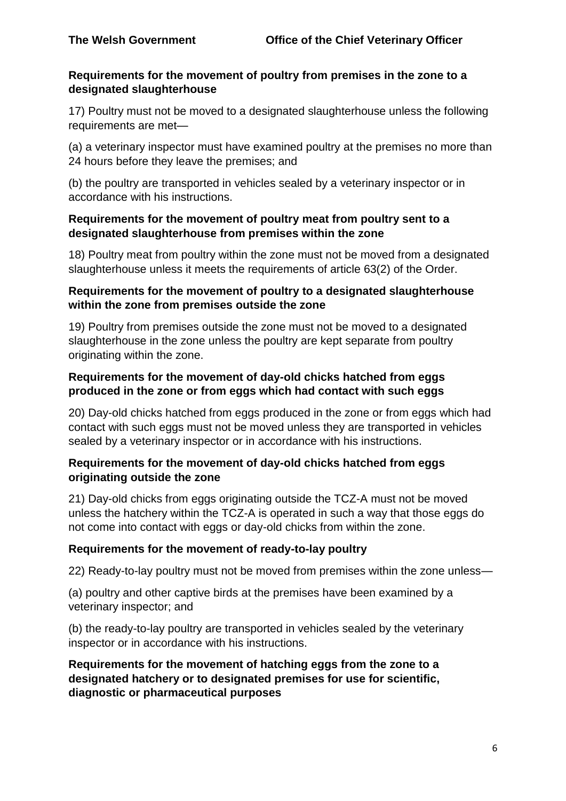#### **Requirements for the movement of poultry from premises in the zone to a designated slaughterhouse**

17) Poultry must not be moved to a designated slaughterhouse unless the following requirements are met—

(a) a veterinary inspector must have examined poultry at the premises no more than 24 hours before they leave the premises; and

(b) the poultry are transported in vehicles sealed by a veterinary inspector or in accordance with his instructions.

#### **Requirements for the movement of poultry meat from poultry sent to a designated slaughterhouse from premises within the zone**

18) Poultry meat from poultry within the zone must not be moved from a designated slaughterhouse unless it meets the requirements of article 63(2) of the Order.

#### **Requirements for the movement of poultry to a designated slaughterhouse within the zone from premises outside the zone**

19) Poultry from premises outside the zone must not be moved to a designated slaughterhouse in the zone unless the poultry are kept separate from poultry originating within the zone.

#### **Requirements for the movement of day-old chicks hatched from eggs produced in the zone or from eggs which had contact with such eggs**

20) Day-old chicks hatched from eggs produced in the zone or from eggs which had contact with such eggs must not be moved unless they are transported in vehicles sealed by a veterinary inspector or in accordance with his instructions.

## **Requirements for the movement of day-old chicks hatched from eggs originating outside the zone**

21) Day-old chicks from eggs originating outside the TCZ-A must not be moved unless the hatchery within the TCZ-A is operated in such a way that those eggs do not come into contact with eggs or day-old chicks from within the zone.

## **Requirements for the movement of ready-to-lay poultry**

22) Ready-to-lay poultry must not be moved from premises within the zone unless—

(a) poultry and other captive birds at the premises have been examined by a veterinary inspector; and

(b) the ready-to-lay poultry are transported in vehicles sealed by the veterinary inspector or in accordance with his instructions.

#### **Requirements for the movement of hatching eggs from the zone to a designated hatchery or to designated premises for use for scientific, diagnostic or pharmaceutical purposes**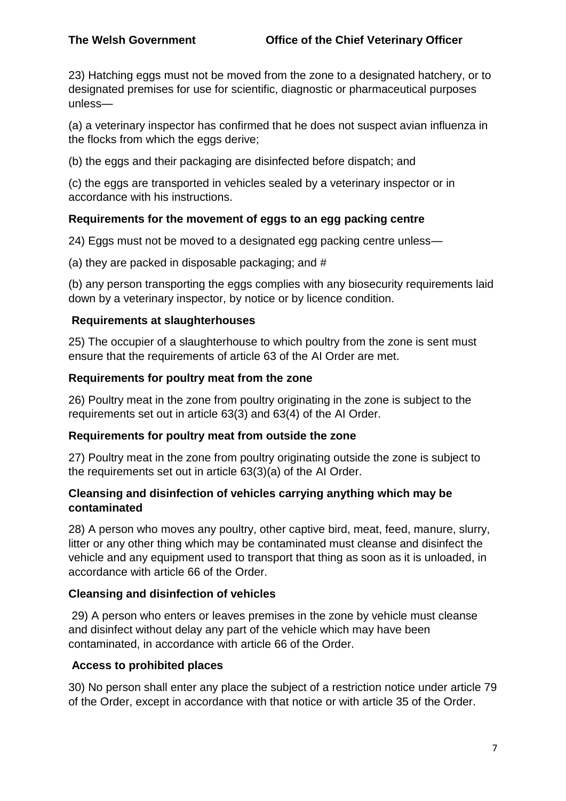23) Hatching eggs must not be moved from the zone to a designated hatchery, or to designated premises for use for scientific, diagnostic or pharmaceutical purposes unless—

(a) a veterinary inspector has confirmed that he does not suspect avian influenza in the flocks from which the eggs derive;

(b) the eggs and their packaging are disinfected before dispatch; and

(c) the eggs are transported in vehicles sealed by a veterinary inspector or in accordance with his instructions.

## **Requirements for the movement of eggs to an egg packing centre**

24) Eggs must not be moved to a designated egg packing centre unless—

(a) they are packed in disposable packaging; and #

(b) any person transporting the eggs complies with any biosecurity requirements laid down by a veterinary inspector, by notice or by licence condition.

#### **Requirements at slaughterhouses**

25) The occupier of a slaughterhouse to which poultry from the zone is sent must ensure that the requirements of article 63 of the AI Order are met.

#### **Requirements for poultry meat from the zone**

26) Poultry meat in the zone from poultry originating in the zone is subject to the requirements set out in article 63(3) and 63(4) of the AI Order.

#### **Requirements for poultry meat from outside the zone**

27) Poultry meat in the zone from poultry originating outside the zone is subject to the requirements set out in article 63(3)(a) of the AI Order.

#### **Cleansing and disinfection of vehicles carrying anything which may be contaminated**

28) A person who moves any poultry, other captive bird, meat, feed, manure, slurry, litter or any other thing which may be contaminated must cleanse and disinfect the vehicle and any equipment used to transport that thing as soon as it is unloaded, in accordance with article 66 of the Order.

## **Cleansing and disinfection of vehicles**

29) A person who enters or leaves premises in the zone by vehicle must cleanse and disinfect without delay any part of the vehicle which may have been contaminated, in accordance with article 66 of the Order.

## **Access to prohibited places**

30) No person shall enter any place the subject of a restriction notice under article 79 of the Order, except in accordance with that notice or with article 35 of the Order.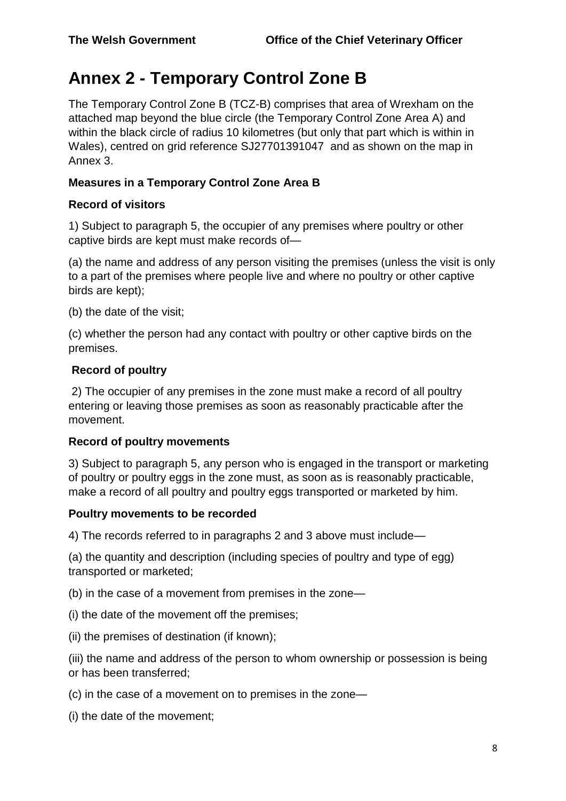# **Annex 2 - Temporary Control Zone B**

The Temporary Control Zone B (TCZ-B) comprises that area of Wrexham on the attached map beyond the blue circle (the Temporary Control Zone Area A) and within the black circle of radius 10 kilometres (but only that part which is within in Wales), centred on grid reference SJ27701391047 and as shown on the map in Annex 3.

## **Measures in a Temporary Control Zone Area B**

## **Record of visitors**

1) Subject to paragraph 5, the occupier of any premises where poultry or other captive birds are kept must make records of—

(a) the name and address of any person visiting the premises (unless the visit is only to a part of the premises where people live and where no poultry or other captive birds are kept);

(b) the date of the visit;

(c) whether the person had any contact with poultry or other captive birds on the premises.

## **Record of poultry**

2) The occupier of any premises in the zone must make a record of all poultry entering or leaving those premises as soon as reasonably practicable after the movement.

## **Record of poultry movements**

3) Subject to paragraph 5, any person who is engaged in the transport or marketing of poultry or poultry eggs in the zone must, as soon as is reasonably practicable, make a record of all poultry and poultry eggs transported or marketed by him.

## **Poultry movements to be recorded**

4) The records referred to in paragraphs 2 and 3 above must include—

(a) the quantity and description (including species of poultry and type of egg) transported or marketed;

(b) in the case of a movement from premises in the zone—

(i) the date of the movement off the premises;

(ii) the premises of destination (if known);

(iii) the name and address of the person to whom ownership or possession is being or has been transferred;

(c) in the case of a movement on to premises in the zone—

(i) the date of the movement;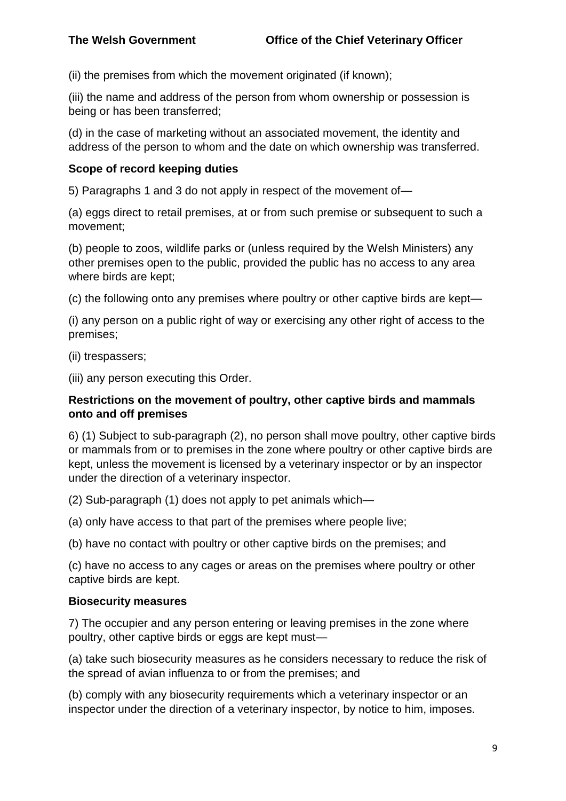(ii) the premises from which the movement originated (if known);

(iii) the name and address of the person from whom ownership or possession is being or has been transferred;

(d) in the case of marketing without an associated movement, the identity and address of the person to whom and the date on which ownership was transferred.

#### **Scope of record keeping duties**

5) Paragraphs 1 and 3 do not apply in respect of the movement of—

(a) eggs direct to retail premises, at or from such premise or subsequent to such a movement;

(b) people to zoos, wildlife parks or (unless required by the Welsh Ministers) any other premises open to the public, provided the public has no access to any area where birds are kept;

(c) the following onto any premises where poultry or other captive birds are kept—

(i) any person on a public right of way or exercising any other right of access to the premises;

(ii) trespassers;

(iii) any person executing this Order.

#### **Restrictions on the movement of poultry, other captive birds and mammals onto and off premises**

6) (1) Subject to sub-paragraph (2), no person shall move poultry, other captive birds or mammals from or to premises in the zone where poultry or other captive birds are kept, unless the movement is licensed by a veterinary inspector or by an inspector under the direction of a veterinary inspector.

(2) Sub-paragraph (1) does not apply to pet animals which—

(a) only have access to that part of the premises where people live;

(b) have no contact with poultry or other captive birds on the premises; and

(c) have no access to any cages or areas on the premises where poultry or other captive birds are kept.

#### **Biosecurity measures**

7) The occupier and any person entering or leaving premises in the zone where poultry, other captive birds or eggs are kept must—

(a) take such biosecurity measures as he considers necessary to reduce the risk of the spread of avian influenza to or from the premises; and

(b) comply with any biosecurity requirements which a veterinary inspector or an inspector under the direction of a veterinary inspector, by notice to him, imposes.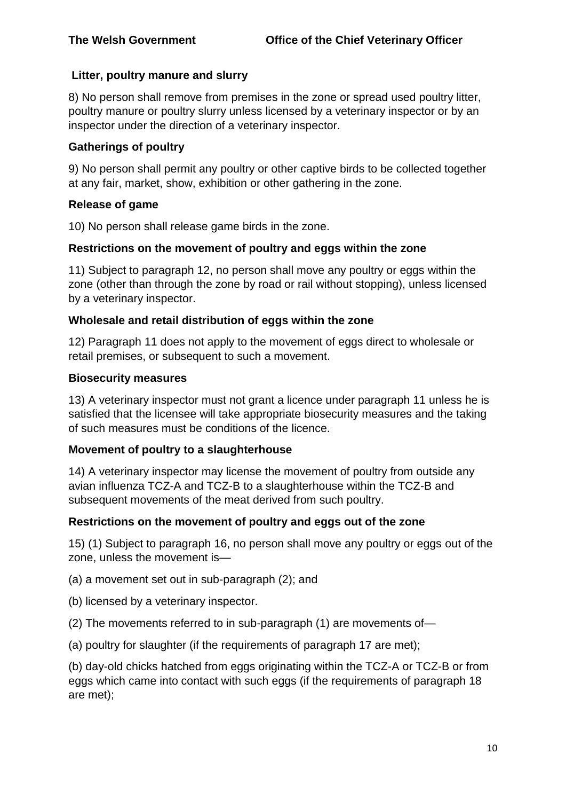## **Litter, poultry manure and slurry**

8) No person shall remove from premises in the zone or spread used poultry litter, poultry manure or poultry slurry unless licensed by a veterinary inspector or by an inspector under the direction of a veterinary inspector.

#### **Gatherings of poultry**

9) No person shall permit any poultry or other captive birds to be collected together at any fair, market, show, exhibition or other gathering in the zone.

#### **Release of game**

10) No person shall release game birds in the zone.

#### **Restrictions on the movement of poultry and eggs within the zone**

11) Subject to paragraph 12, no person shall move any poultry or eggs within the zone (other than through the zone by road or rail without stopping), unless licensed by a veterinary inspector.

#### **Wholesale and retail distribution of eggs within the zone**

12) Paragraph 11 does not apply to the movement of eggs direct to wholesale or retail premises, or subsequent to such a movement.

#### **Biosecurity measures**

13) A veterinary inspector must not grant a licence under paragraph 11 unless he is satisfied that the licensee will take appropriate biosecurity measures and the taking of such measures must be conditions of the licence.

#### **Movement of poultry to a slaughterhouse**

14) A veterinary inspector may license the movement of poultry from outside any avian influenza TCZ-A and TCZ-B to a slaughterhouse within the TCZ-B and subsequent movements of the meat derived from such poultry.

## **Restrictions on the movement of poultry and eggs out of the zone**

15) (1) Subject to paragraph 16, no person shall move any poultry or eggs out of the zone, unless the movement is—

(a) a movement set out in sub-paragraph (2); and

- (b) licensed by a veterinary inspector.
- (2) The movements referred to in sub-paragraph (1) are movements of—
- (a) poultry for slaughter (if the requirements of paragraph 17 are met);

(b) day-old chicks hatched from eggs originating within the TCZ-A or TCZ-B or from eggs which came into contact with such eggs (if the requirements of paragraph 18 are met);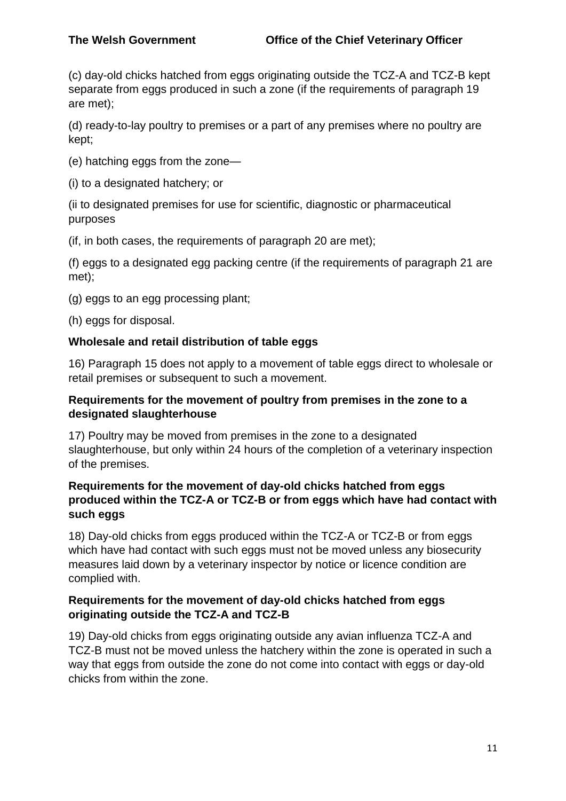(c) day-old chicks hatched from eggs originating outside the TCZ-A and TCZ-B kept separate from eggs produced in such a zone (if the requirements of paragraph 19 are met);

(d) ready-to-lay poultry to premises or a part of any premises where no poultry are kept;

(e) hatching eggs from the zone—

(i) to a designated hatchery; or

(ii to designated premises for use for scientific, diagnostic or pharmaceutical purposes

(if, in both cases, the requirements of paragraph 20 are met);

(f) eggs to a designated egg packing centre (if the requirements of paragraph 21 are met);

(g) eggs to an egg processing plant;

(h) eggs for disposal.

#### **Wholesale and retail distribution of table eggs**

16) Paragraph 15 does not apply to a movement of table eggs direct to wholesale or retail premises or subsequent to such a movement.

#### **Requirements for the movement of poultry from premises in the zone to a designated slaughterhouse**

17) Poultry may be moved from premises in the zone to a designated slaughterhouse, but only within 24 hours of the completion of a veterinary inspection of the premises.

#### **Requirements for the movement of day-old chicks hatched from eggs produced within the TCZ-A or TCZ-B or from eggs which have had contact with such eggs**

18) Day-old chicks from eggs produced within the TCZ-A or TCZ-B or from eggs which have had contact with such eggs must not be moved unless any biosecurity measures laid down by a veterinary inspector by notice or licence condition are complied with.

#### **Requirements for the movement of day-old chicks hatched from eggs originating outside the TCZ-A and TCZ-B**

19) Day-old chicks from eggs originating outside any avian influenza TCZ-A and TCZ-B must not be moved unless the hatchery within the zone is operated in such a way that eggs from outside the zone do not come into contact with eggs or day-old chicks from within the zone.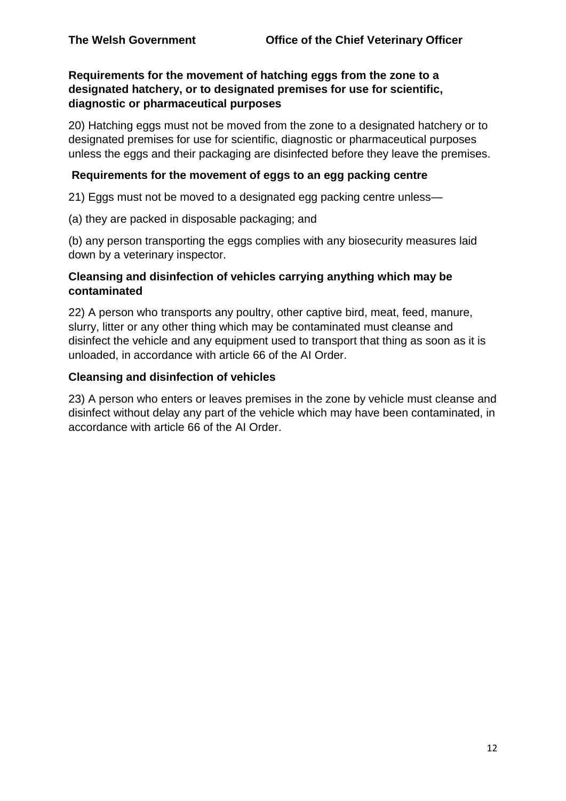## **Requirements for the movement of hatching eggs from the zone to a designated hatchery, or to designated premises for use for scientific, diagnostic or pharmaceutical purposes**

20) Hatching eggs must not be moved from the zone to a designated hatchery or to designated premises for use for scientific, diagnostic or pharmaceutical purposes unless the eggs and their packaging are disinfected before they leave the premises.

#### **Requirements for the movement of eggs to an egg packing centre**

21) Eggs must not be moved to a designated egg packing centre unless—

(a) they are packed in disposable packaging; and

(b) any person transporting the eggs complies with any biosecurity measures laid down by a veterinary inspector.

#### **Cleansing and disinfection of vehicles carrying anything which may be contaminated**

22) A person who transports any poultry, other captive bird, meat, feed, manure, slurry, litter or any other thing which may be contaminated must cleanse and disinfect the vehicle and any equipment used to transport that thing as soon as it is unloaded, in accordance with article 66 of the AI Order.

#### **Cleansing and disinfection of vehicles**

23) A person who enters or leaves premises in the zone by vehicle must cleanse and disinfect without delay any part of the vehicle which may have been contaminated, in accordance with article 66 of the AI Order.